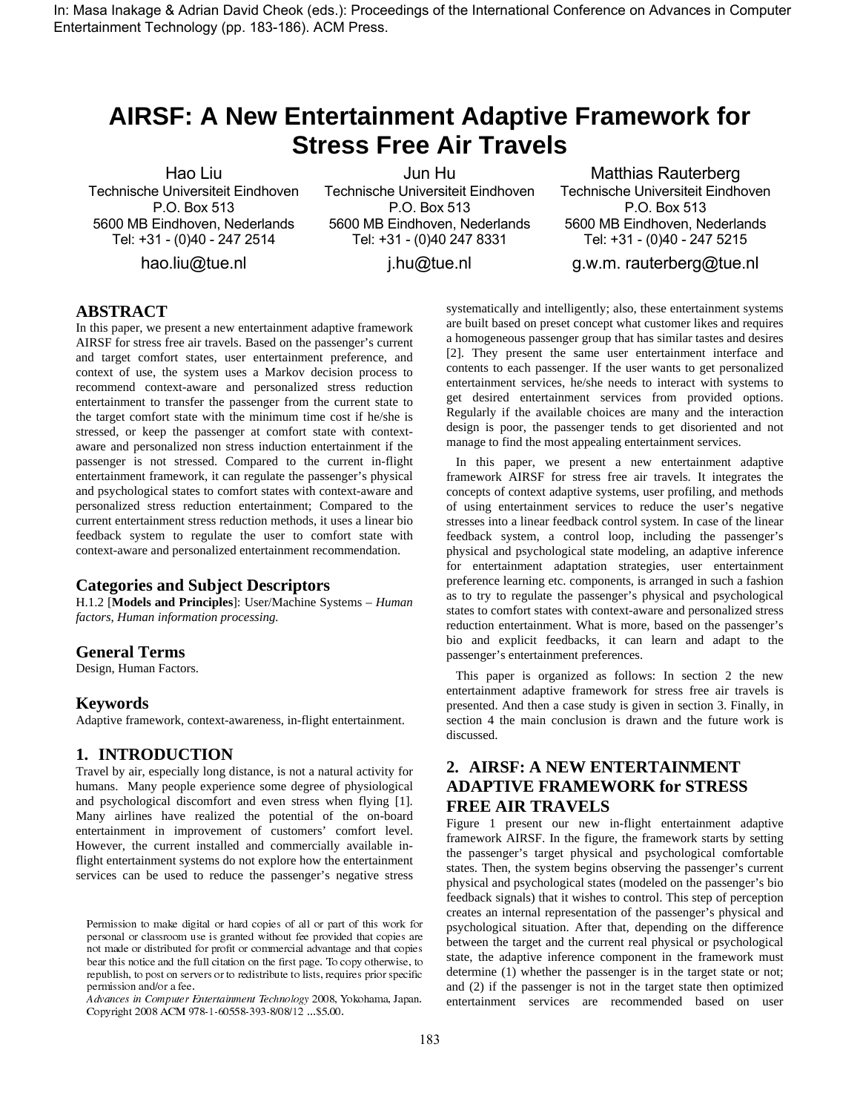In: Masa Inakage & Adrian David Cheok (eds.): Proceedings of the International Conference on Advances in Computer Entertainment Technology (pp. 183-186). ACM Press.

# **AIRSF: A New Entertainment Adaptive Framework for Stress Free Air Travels**

Hao Liu Technische Universiteit Eindhoven P.O. Box 513 5600 MB Eindhoven, Nederlands Tel: +31 - (0)40 - 247 2514

hao.liu@tue.nl

Jun Hu Technische Universiteit Eindhoven P.O. Box 513 5600 MB Eindhoven, Nederlands Tel: +31 - (0)40 247 8331

Matthias Rauterberg Technische Universiteit Eindhoven P.O. Box 513 5600 MB Eindhoven, Nederlands Tel: +31 - (0)40 - 247 5215

j.hu@tue.nl

g.w.m. rauterberg@tue.nl

# **ABSTRACT**

In this paper, we present a new entertainment adaptive framework AIRSF for stress free air travels. Based on the passenger's current and target comfort states, user entertainment preference, and context of use, the system uses a Markov decision process to recommend context-aware and personalized stress reduction entertainment to transfer the passenger from the current state to the target comfort state with the minimum time cost if he/she is stressed, or keep the passenger at comfort state with contextaware and personalized non stress induction entertainment if the passenger is not stressed. Compared to the current in-flight entertainment framework, it can regulate the passenger's physical and psychological states to comfort states with context-aware and personalized stress reduction entertainment; Compared to the current entertainment stress reduction methods, it uses a linear bio feedback system to regulate the user to comfort state with context-aware and personalized entertainment recommendation.

### **Categories and Subject Descriptors**

H.1.2 [**Models and Principles**]: User/Machine Systems – *Human factors, Human information processing.* 

#### **General Terms**

Design, Human Factors.

#### **Keywords**

Adaptive framework, context-awareness, in-flight entertainment.

## **1. INTRODUCTION**

Travel by air, especially long distance, is not a natural activity for humans. Many people experience some degree of physiological and psychological discomfort and even stress when flying [1]. Many airlines have realized the potential of the on-board entertainment in improvement of customers' comfort level. However, the current installed and commercially available inflight entertainment systems do not explore how the entertainment services can be used to reduce the passenger's negative stress

 $\alpha$  . The function in comparison continuous recently represented to contain a up the contained and  $\alpha$ Copyright 2008 ACM 978-1-60558-393-8/08/12 ... \$5.00.

systematically and intelligently; also, these entertainment systems are built based on preset concept what customer likes and requires a homogeneous passenger group that has similar tastes and desires [2]. They present the same user entertainment interface and contents to each passenger. If the user wants to get personalized entertainment services, he/she needs to interact with systems to get desired entertainment services from provided options. Regularly if the available choices are many and the interaction design is poor, the passenger tends to get disoriented and not manage to find the most appealing entertainment services.

 In this paper, we present a new entertainment adaptive framework AIRSF for stress free air travels. It integrates the concepts of context adaptive systems, user profiling, and methods of using entertainment services to reduce the user's negative stresses into a linear feedback control system. In case of the linear feedback system, a control loop, including the passenger's physical and psychological state modeling, an adaptive inference for entertainment adaptation strategies, user entertainment preference learning etc. components, is arranged in such a fashion as to try to regulate the passenger's physical and psychological states to comfort states with context-aware and personalized stress reduction entertainment. What is more, based on the passenger's bio and explicit feedbacks, it can learn and adapt to the passenger's entertainment preferences.

 This paper is organized as follows: In section 2 the new entertainment adaptive framework for stress free air travels is presented. And then a case study is given in section 3. Finally, in section 4 the main conclusion is drawn and the future work is discussed.

# **2. AIRSF: A NEW ENTERTAINMENT ADAPTIVE FRAMEWORK for STRESS FREE AIR TRAVELS**

Figure 1 present our new in-flight entertainment adaptive framework AIRSF. In the figure, the framework starts by setting the passenger's target physical and psychological comfortable states. Then, the system begins observing the passenger's current physical and psychological states (modeled on the passenger's bio feedback signals) that it wishes to control. This step of perception creates an internal representation of the passenger's physical and psychological situation. After that, depending on the difference between the target and the current real physical or psychological state, the adaptive inference component in the framework must  $\frac{d}{d\hat{H}c}$  determine (1) whether the passenger is in the target state or not; and (2) if the passenger is not in the target state then optimized entertainment services are recommended based on user

 $\blacksquare$  . The contract of the subset of the state of the state  $\blacksquare$  $\mathbb{R}$  are computed to the sequence of the section of the section of  $\mathbb{R}$  $\alpha$  index of abilibation for profit of commercial autumnage and may copies - -  - - - -- $\mathbf{r}_1$  , and the contract of the contract control  $\mathbf{r}_2$  ,  $\mathbf{r}_3$  ,  $\mathbf{r}_4$  ,  $\mathbf{r}_5$  ,  $\mathbf{r}_6$  ,  $\mathbf{r}_7$  ,  $\mathbf{r}_8$  ,  $\mathbf{r}_9$  ,  $\mathbf{r}_9$  ,  $\mathbf{r}_9$  ,  $\mathbf{r}_9$  ,  $\mathbf{r}_9$  ,  $\mathbf{r}_9$  ,  $\mathbf{r}_9$  ,  $P$  changes on an  $\alpha$  or a rec.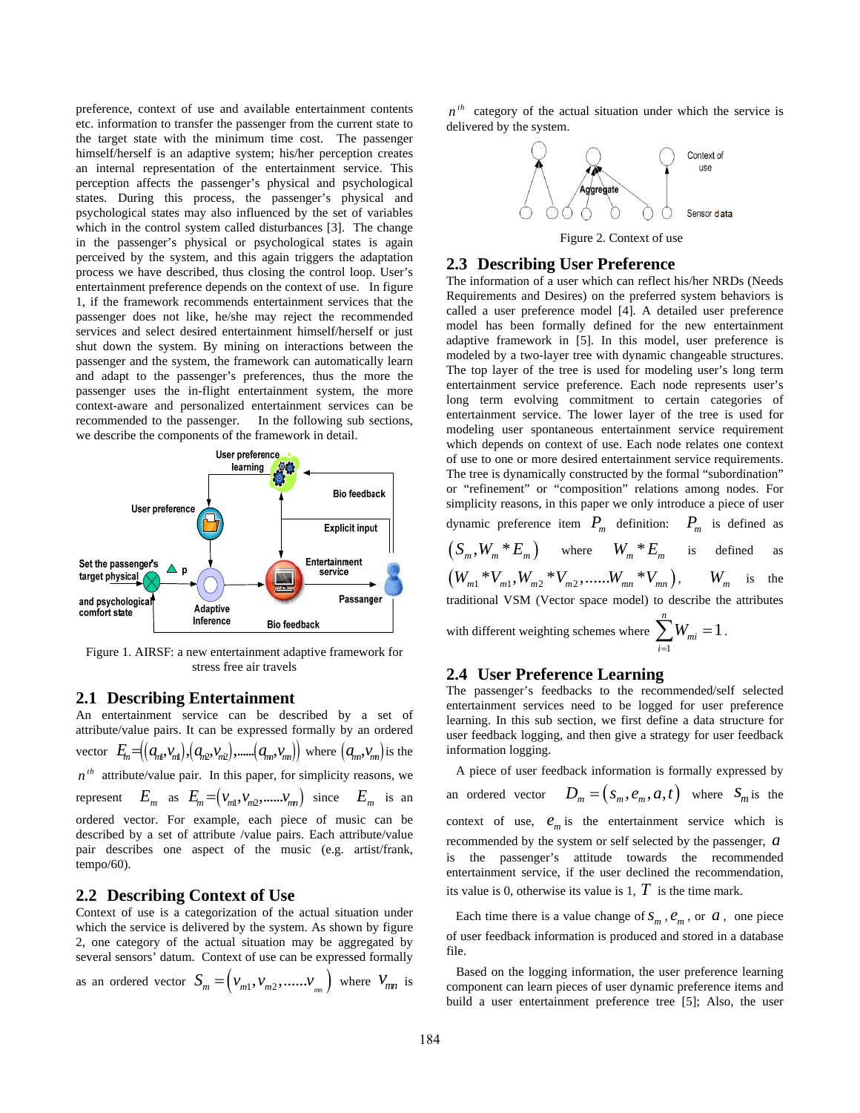preference, context of use and available entertainment contents etc. information to transfer the passenger from the current state to the target state with the minimum time cost. The passenger himself/herself is an adaptive system; his/her perception creates an internal representation of the entertainment service. This perception affects the passenger's physical and psychological states. During this process, the passenger's physical and psychological states may also influenced by the set of variables which in the control system called disturbances [3]. The change in the passenger's physical or psychological states is again perceived by the system, and this again triggers the adaptation process we have described, thus closing the control loop. User's entertainment preference depends on the context of use. In figure 1, if the framework recommends entertainment services that the passenger does not like, he/she may reject the recommended services and select desired entertainment himself/herself or just shut down the system. By mining on interactions between the passenger and the system, the framework can automatically learn and adapt to the passenger's preferences, thus the more the passenger uses the in-flight entertainment system, the more context-aware and personalized entertainment services can be recommended to the passenger. In the following sub sections, we describe the components of the framework in detail.



Figure 1. AIRSF: a new entertainment adaptive framework for stress free air travels

#### **2.1 Describing Entertainment**

An entertainment service can be described by a set of attribute/value pairs. It can be expressed formally by an ordered vector  $E_n = ((a_{n1}, v_{n1}), (a_{n2}, v_{n2}), \dots, (a_{nn}, v_{nn}))$  where  $(a_{nn}, v_{nn})$  is the  $n^{th}$  attribute/value pair. In this paper, for simplicity reasons, we represent  $E_m$  as  $E_m = (v_{m1}, v_{m2}, \dots, v_{mn})$  since  $E_m$  is an ordered vector. For example, each piece of music can be described by a set of attribute /value pairs. Each attribute/value pair describes one aspect of the music (e.g. artist/frank, tempo/60).

#### **2.2 Describing Context of Use**

Context of use is a categorization of the actual situation under which the service is delivered by the system. As shown by figure 2, one category of the actual situation may be aggregated by several sensors' datum. Context of use can be expressed formally

as an ordered vector  $S_m = (v_{m1}, v_{m2}, \dots, v_{mn})$  where  $V_{mn}$  is

 $n^{th}$  category of the actual situation under which the service is delivered by the system.



#### **2.3 Describing User Preference**

The information of a user which can reflect his/her NRDs (Needs Requirements and Desires) on the preferred system behaviors is called a user preference model [4]. A detailed user preference model has been formally defined for the new entertainment adaptive framework in [5]. In this model, user preference is modeled by a two-layer tree with dynamic changeable structures. The top layer of the tree is used for modeling user's long term entertainment service preference. Each node represents user's long term evolving commitment to certain categories of entertainment service. The lower layer of the tree is used for modeling user spontaneous entertainment service requirement which depends on context of use. Each node relates one context of use to one or more desired entertainment service requirements. The tree is dynamically constructed by the formal "subordination" or "refinement" or "composition" relations among nodes. For simplicity reasons, in this paper we only introduce a piece of user dynamic preference item  $P_m$  definition:  $P_m$  is defined as

 $(S_m, W_m * E_m)$  where  $W_m * E_m$  is defined as  $(W_{m1} * V_{m1}, W_{m2} * V_{m2}, \dots, W_{mn} * V_{mn}), \qquad W_m$  is the traditional VSM (Vector space model) to describe the attributes *n*

with different weighting schemes where  $\sum_{i=1}^{n} W_{i} = 1$ 1  $\sum W_{mi} = 1$ . *i* =

#### **2.4 User Preference Learning**

The passenger's feedbacks to the recommended/self selected entertainment services need to be logged for user preference learning. In this sub section, we first define a data structure for user feedback logging, and then give a strategy for user feedback nformation logging. i

 A piece of user feedback information is formally expressed by an ordered vector  $D_m = ( s_m, e_m, a, t )$  where  $S_m$  is the context of use,  $e_m$  is the entertainment service which is recommended by the system or self selected by the passenger, *a* is the passenger's attitude towards the recommended entertainment service, if the user declined the recommendation, its value is 0, otherwise its value is 1,  $T$  is the time mark.

Each time there is a value change of  $S_m$ ,  $e_m$ , or  $a$ , one piece of user feedback information is produced and stored in a database file.

 Based on the logging information, the user preference learning component can learn pieces of user dynamic preference items and build a user entertainment preference tree [5]; Also, the user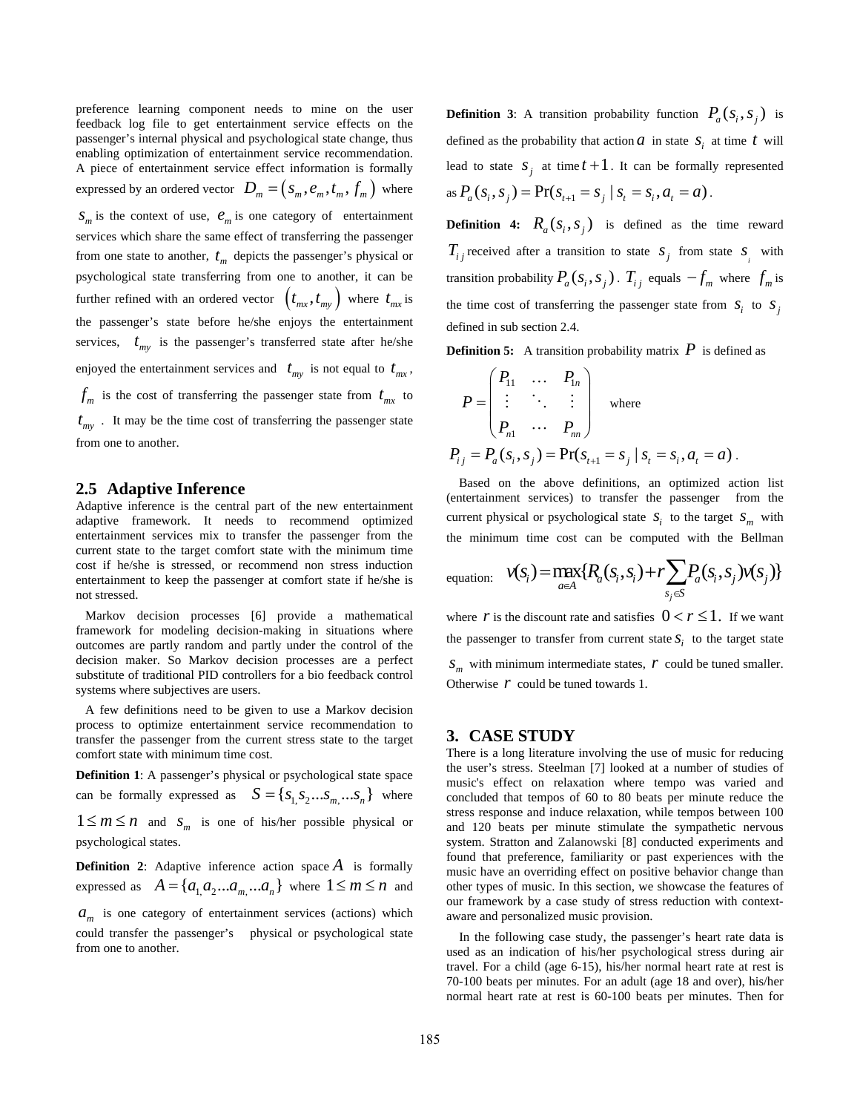preference learning component needs to mine on the user feedback log file to get entertainment service effects on the passenger's internal physical and psychological state change, thus enabling optimization of entertainment service recommendation. A piece of entertainment service effect information is formally expressed by an ordered vector  $D_m = (s_m, e_m, t_m, f_m)$  where  $S_m$  is the context of use,  $e_m$  is one category of entertainment services which share the same effect of transferring the passenger from one state to another,  $t_m$  depicts the passenger's physical or psychological state transferring from one to another, it can be further refined with an ordered vector  $(t_{mx}, t_{my})$  where  $t_{mx}$  is the passenger's state before he/she enjoys the entertainment services,  $t_{my}$  is the passenger's transferred state after he/she enjoyed the entertainment services and  $t_{my}$  is not equal to  $t_{mx}$ ,  $f_m$  is the cost of transferring the passenger state from  $t_{mx}$  to  $t_{\text{my}}$ . It may be the time cost of transferring the passenger state from one to another.

#### **2.5 Adaptive Inference**

Adaptive inference is the central part of the new entertainment adaptive framework. It needs to recommend optimized entertainment services mix to transfer the passenger from the current state to the target comfort state with the minimum time cost if he/she is stressed, or recommend non stress induction entertainment to keep the passenger at comfort state if he/she is not stressed.

 Markov decision processes [6] provide a mathematical framework for modeling decision-making in situations where outcomes are partly random and partly under the control of the decision maker. So Markov decision processes are a perfect substitute of traditional PID controllers for a bio feedback control systems where subjectives are users.

 A few definitions need to be given to use a Markov decision process to optimize entertainment service recommendation to transfer the passenger from the current stress state to the target comfort state with minimum time cost.

**Definition 1**: A passenger's physical or psychological state space can be formally expressed as  $S = \{s_1, s_2...s_m, ...s_n\}$  where  $1 \le m \le n$  and  $S_m$  is one of his/her possible physical or psychological states.

**Definition 2:** Adaptive inference action space  $\vec{A}$  is formally expressed as  $A = \{a_1, a_2... a_m... a_n\}$  where  $1 \le m \le n$  and

 $a_m$  is one category of entertainment services (actions) which could transfer the passenger's physical or psychological state from one to another.

**Definition 3:** A transition probability function  $P_a(s_i, s_j)$  is defined as the probability that action  $a$  in state  $s_i$  at time  $t$  will lead to state  $S_j$  at time  $t+1$ . It can be formally represented as  $P_a(S_i, S_j) = Pr(S_{t+1} = S_j | S_t = S_i, a_t = a)$ .

**Definition 4:**  $R_a(s_i, s_i)$  is defined as the time reward  $T_{ij}$  received after a transition to state  $S_j$  from state  $S_i$  with transition probability  $P_a(s_i, s_j)$ .  $T_{ij}$  equals  $-f_m$  where  $f_m$  is the time cost of transferring the passenger state from  $S_i$  to  $S_j$ defined in sub section 2.4.

**Definition 5:** A transition probability matrix  $P$  is defined as

$$
P = \begin{pmatrix} P_{11} & \dots & P_{1n} \\ \vdots & \ddots & \vdots \\ P_{n1} & \dots & P_{nn} \end{pmatrix} \text{ where }
$$
  

$$
P_{ij} = P_a(s_i, s_j) = \Pr(s_{t+1} = s_j \mid s_t = s_i, a_t = a).
$$

Based on the above definitions, an optimized action list (entertainment services) to transfer the passenger from the current physical or psychological state  $S_i$  to the target  $S_m$  with the minimum time cost can be computed with the Bellman

$$
\text{equation:} \quad \mathcal{V}(S_i) = \max_{a \in A} \{ R_a(S_i, S_i) + r \sum_{s_j \in S} P_a(S_i, S_j) \mathcal{V}(S_j) \}
$$

where *r* is the discount rate and satisfies  $0 < r \le 1$ . If we want the passenger to transfer from current state  $S_i$  to the target state  $S_m$  with minimum intermediate states,  $r$  could be tuned smaller. Otherwise *r* could be tuned towards 1.

#### **3. CASE STUDY**

There is a long literature involving the use of music for reducing the user's stress. Steelman [7] looked at a number of studies of music's effect on relaxation where tempo was varied and concluded that tempos of 60 to 80 beats per minute reduce the stress response and induce relaxation, while tempos between 100 and 120 beats per minute stimulate the sympathetic nervous system. Stratton and Zalanowski [8] conducted experiments and found that preference, familiarity or past experiences with the music have an overriding effect on positive behavior change than other types of music. In this section, we showcase the features of our framework by a case study of stress reduction with contextaware and personalized music provision.

 In the following case study, the passenger's heart rate data is used as an indication of his/her psychological stress during air travel. For a child (age 6-15), his/her normal heart rate at rest is 70-100 beats per minutes. For an adult (age 18 and over), his/her normal heart rate at rest is 60-100 beats per minutes. Then for